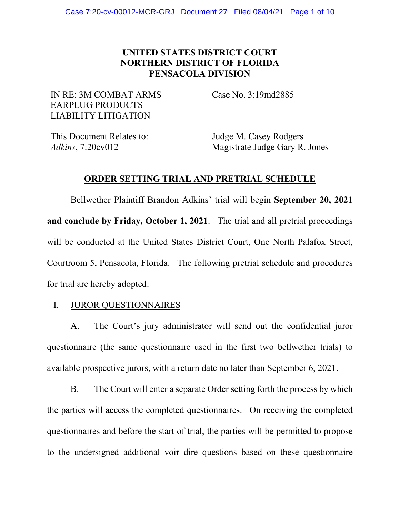# **UNITED STATES DISTRICT COURT NORTHERN DISTRICT OF FLORIDA PENSACOLA DIVISION**

IN RE: 3M COMBAT ARMS EARPLUG PRODUCTS LIABILITY LITIGATION

Case No. 3:19md2885

This Document Relates to: *Adkins*, 7:20cv012

Judge M. Casey Rodgers Magistrate Judge Gary R. Jones

## **ORDER SETTING TRIAL AND PRETRIAL SCHEDULE**

Bellwether Plaintiff Brandon Adkins' trial will begin **September 20, 2021 and conclude by Friday, October 1, 2021**. The trial and all pretrial proceedings will be conducted at the United States District Court, One North Palafox Street, Courtroom 5, Pensacola, Florida. The following pretrial schedule and procedures for trial are hereby adopted:

## I. JUROR QUESTIONNAIRES

A. The Court's jury administrator will send out the confidential juror questionnaire (the same questionnaire used in the first two bellwether trials) to available prospective jurors, with a return date no later than September 6, 2021.

B. The Court will enter a separate Order setting forth the process by which the parties will access the completed questionnaires. On receiving the completed questionnaires and before the start of trial, the parties will be permitted to propose to the undersigned additional voir dire questions based on these questionnaire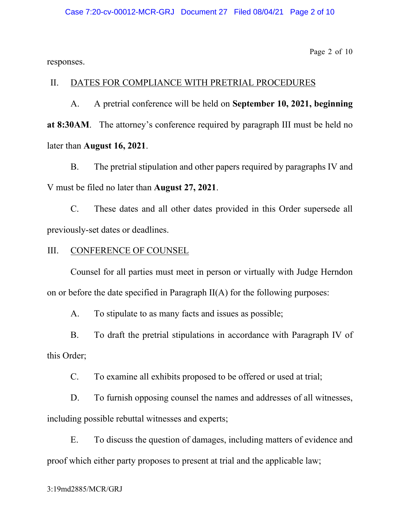Page 2 of 10

responses.

#### II. DATES FOR COMPLIANCE WITH PRETRIAL PROCEDURES

A. A pretrial conference will be held on **September 10, 2021, beginning at 8:30AM**. The attorney's conference required by paragraph III must be held no later than **August 16, 2021**.

B. The pretrial stipulation and other papers required by paragraphs IV and V must be filed no later than **August 27, 2021**.

C. These dates and all other dates provided in this Order supersede all previously-set dates or deadlines.

#### III. CONFERENCE OF COUNSEL

Counsel for all parties must meet in person or virtually with Judge Herndon on or before the date specified in Paragraph II(A) for the following purposes:

A. To stipulate to as many facts and issues as possible;

B. To draft the pretrial stipulations in accordance with Paragraph IV of this Order;

C. To examine all exhibits proposed to be offered or used at trial;

D. To furnish opposing counsel the names and addresses of all witnesses, including possible rebuttal witnesses and experts;

E. To discuss the question of damages, including matters of evidence and proof which either party proposes to present at trial and the applicable law;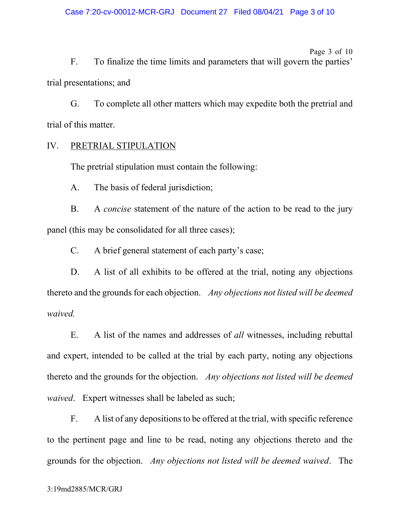Page 3 of 10 F. To finalize the time limits and parameters that will govern the parties' trial presentations; and

G. To complete all other matters which may expedite both the pretrial and trial of this matter.

## IV. PRETRIAL STIPULATION

The pretrial stipulation must contain the following:

A. The basis of federal jurisdiction;

B. A *concise* statement of the nature of the action to be read to the jury panel (this may be consolidated for all three cases);

C. A brief general statement of each party's case;

D. A list of all exhibits to be offered at the trial, noting any objections thereto and the grounds for each objection. *Any objections not listed will be deemed waived.*

E. A list of the names and addresses of *all* witnesses, including rebuttal and expert, intended to be called at the trial by each party, noting any objections thereto and the grounds for the objection. *Any objections not listed will be deemed waived*. Expert witnesses shall be labeled as such;

F. A list of any depositions to be offered at the trial, with specific reference to the pertinent page and line to be read, noting any objections thereto and the grounds for the objection. *Any objections not listed will be deemed waived*. The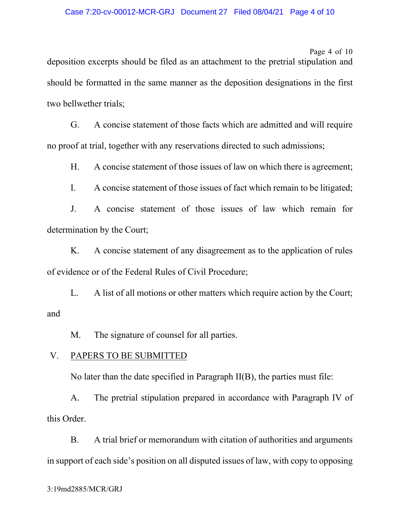Page 4 of 10 deposition excerpts should be filed as an attachment to the pretrial stipulation and should be formatted in the same manner as the deposition designations in the first two bellwether trials;

G. A concise statement of those facts which are admitted and will require no proof at trial, together with any reservations directed to such admissions;

H. A concise statement of those issues of law on which there is agreement;

I. A concise statement of those issues of fact which remain to be litigated;

J. A concise statement of those issues of law which remain for determination by the Court;

K. A concise statement of any disagreement as to the application of rules of evidence or of the Federal Rules of Civil Procedure;

L. A list of all motions or other matters which require action by the Court; and

M. The signature of counsel for all parties.

## V. PAPERS TO BE SUBMITTED

No later than the date specified in Paragraph II(B), the parties must file:

A. The pretrial stipulation prepared in accordance with Paragraph IV of this Order.

B. A trial brief or memorandum with citation of authorities and arguments in support of each side's position on all disputed issues of law, with copy to opposing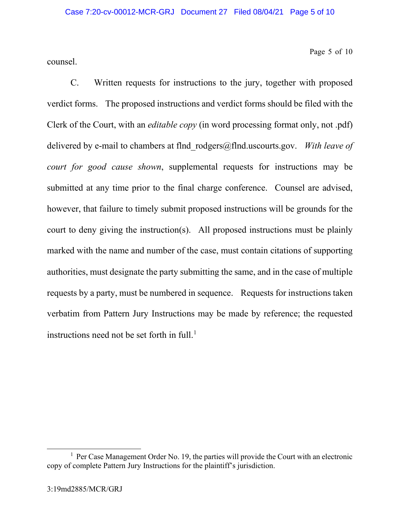counsel.

Page 5 of 10

C. Written requests for instructions to the jury, together with proposed verdict forms. The proposed instructions and verdict forms should be filed with the Clerk of the Court, with an *editable copy* (in word processing format only, not .pdf) delivered by e-mail to chambers at flnd\_rodgers@flnd.uscourts.gov. *With leave of court for good cause shown*, supplemental requests for instructions may be submitted at any time prior to the final charge conference. Counsel are advised, however, that failure to timely submit proposed instructions will be grounds for the court to deny giving the instruction(s). All proposed instructions must be plainly marked with the name and number of the case, must contain citations of supporting authorities, must designate the party submitting the same, and in the case of multiple requests by a party, must be numbered in sequence. Requests for instructions taken verbatim from Pattern Jury Instructions may be made by reference; the requested instructions need not be set forth in full. $<sup>1</sup>$ </sup>

 $1$  Per Case Management Order No. 19, the parties will provide the Court with an electronic copy of complete Pattern Jury Instructions for the plaintiff's jurisdiction.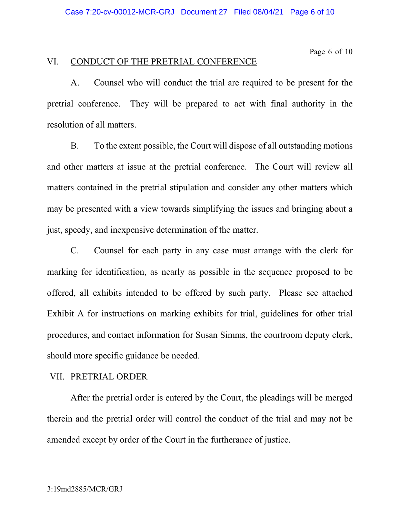Page 6 of 10

## VI. CONDUCT OF THE PRETRIAL CONFERENCE

A. Counsel who will conduct the trial are required to be present for the pretrial conference. They will be prepared to act with final authority in the resolution of all matters.

B. To the extent possible, the Court will dispose of all outstanding motions and other matters at issue at the pretrial conference. The Court will review all matters contained in the pretrial stipulation and consider any other matters which may be presented with a view towards simplifying the issues and bringing about a just, speedy, and inexpensive determination of the matter.

C. Counsel for each party in any case must arrange with the clerk for marking for identification, as nearly as possible in the sequence proposed to be offered, all exhibits intended to be offered by such party. Please see attached Exhibit A for instructions on marking exhibits for trial, guidelines for other trial procedures, and contact information for Susan Simms, the courtroom deputy clerk, should more specific guidance be needed.

## VII. PRETRIAL ORDER

After the pretrial order is entered by the Court, the pleadings will be merged therein and the pretrial order will control the conduct of the trial and may not be amended except by order of the Court in the furtherance of justice.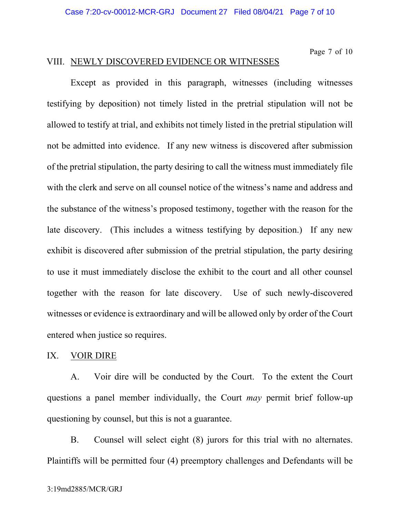#### Page 7 of 10 VIII. NEWLY DISCOVERED EVIDENCE OR WITNESSES

Except as provided in this paragraph, witnesses (including witnesses testifying by deposition) not timely listed in the pretrial stipulation will not be allowed to testify at trial, and exhibits not timely listed in the pretrial stipulation will not be admitted into evidence. If any new witness is discovered after submission of the pretrial stipulation, the party desiring to call the witness must immediately file with the clerk and serve on all counsel notice of the witness's name and address and the substance of the witness's proposed testimony, together with the reason for the late discovery. (This includes a witness testifying by deposition.) If any new exhibit is discovered after submission of the pretrial stipulation, the party desiring to use it must immediately disclose the exhibit to the court and all other counsel together with the reason for late discovery. Use of such newly-discovered witnesses or evidence is extraordinary and will be allowed only by order of the Court entered when justice so requires.

## IX. VOIR DIRE

A. Voir dire will be conducted by the Court. To the extent the Court questions a panel member individually, the Court *may* permit brief follow-up questioning by counsel, but this is not a guarantee.

B. Counsel will select eight (8) jurors for this trial with no alternates. Plaintiffs will be permitted four (4) preemptory challenges and Defendants will be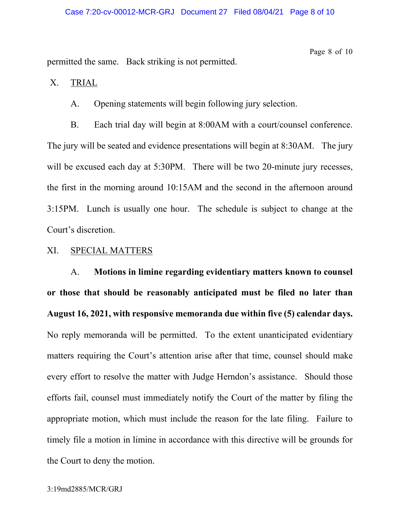permitted the same. Back striking is not permitted.

Page 8 of 10

X. TRIAL

A. Opening statements will begin following jury selection.

B. Each trial day will begin at 8:00AM with a court/counsel conference. The jury will be seated and evidence presentations will begin at 8:30AM. The jury will be excused each day at 5:30PM. There will be two 20-minute jury recesses, the first in the morning around 10:15AM and the second in the afternoon around 3:15PM. Lunch is usually one hour. The schedule is subject to change at the Court's discretion.

#### XI. SPECIAL MATTERS

A. **Motions in limine regarding evidentiary matters known to counsel or those that should be reasonably anticipated must be filed no later than August 16, 2021, with responsive memoranda due within five (5) calendar days.** No reply memoranda will be permitted. To the extent unanticipated evidentiary matters requiring the Court's attention arise after that time, counsel should make every effort to resolve the matter with Judge Herndon's assistance. Should those efforts fail, counsel must immediately notify the Court of the matter by filing the appropriate motion, which must include the reason for the late filing. Failure to timely file a motion in limine in accordance with this directive will be grounds for the Court to deny the motion.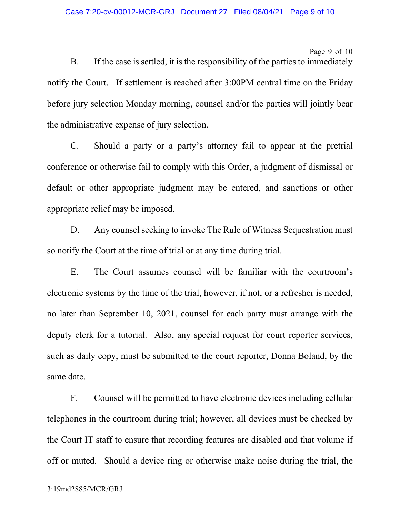#### Page 9 of 10

B. If the case is settled, it is the responsibility of the parties to immediately notify the Court. If settlement is reached after 3:00PM central time on the Friday before jury selection Monday morning, counsel and/or the parties will jointly bear the administrative expense of jury selection.

C. Should a party or a party's attorney fail to appear at the pretrial conference or otherwise fail to comply with this Order, a judgment of dismissal or default or other appropriate judgment may be entered, and sanctions or other appropriate relief may be imposed.

D. Any counsel seeking to invoke The Rule of Witness Sequestration must so notify the Court at the time of trial or at any time during trial.

E. The Court assumes counsel will be familiar with the courtroom's electronic systems by the time of the trial, however, if not, or a refresher is needed, no later than September 10, 2021, counsel for each party must arrange with the deputy clerk for a tutorial. Also, any special request for court reporter services, such as daily copy, must be submitted to the court reporter, Donna Boland, by the same date.

F. Counsel will be permitted to have electronic devices including cellular telephones in the courtroom during trial; however, all devices must be checked by the Court IT staff to ensure that recording features are disabled and that volume if off or muted. Should a device ring or otherwise make noise during the trial, the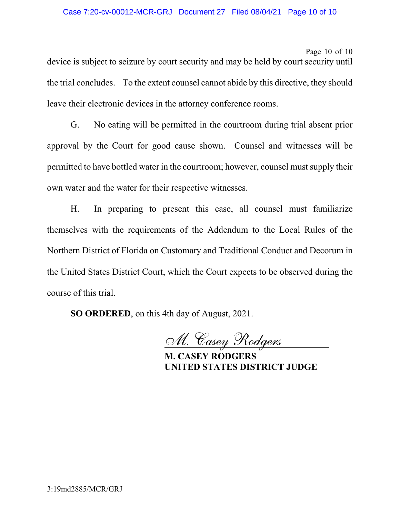#### Case 7:20-cv-00012-MCR-GRJ Document 27 Filed 08/04/21 Page 10 of 10

Page 10 of 10

device is subject to seizure by court security and may be held by court security until the trial concludes. To the extent counsel cannot abide by this directive, they should leave their electronic devices in the attorney conference rooms.

G. No eating will be permitted in the courtroom during trial absent prior approval by the Court for good cause shown. Counsel and witnesses will be permitted to have bottled water in the courtroom; however, counsel must supply their own water and the water for their respective witnesses.

H. In preparing to present this case, all counsel must familiarize themselves with the requirements of the Addendum to the Local Rules of the Northern District of Florida on Customary and Traditional Conduct and Decorum in the United States District Court, which the Court expects to be observed during the course of this trial.

**SO ORDERED**, on this 4th day of August, 2021.

M. Casey Rodgers

**M. CASEY RODGERS UNITED STATES DISTRICT JUDGE**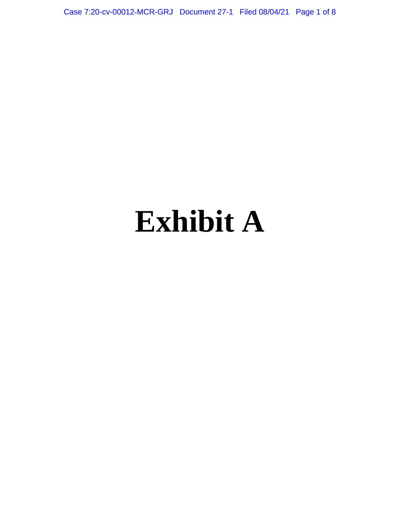Case 7:20-cv-00012-MCR-GRJ Document 27-1 Filed 08/04/21 Page 1 of 8

# **Exhibit A**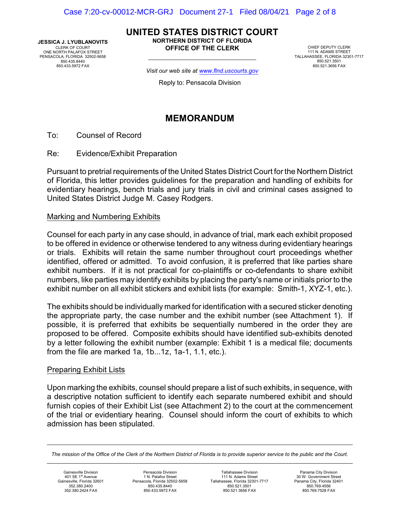**JESSICA J. LYUBLANOVITS** CLERK OF COURT ONE NORTH PALAFOX STREET PENSACOLA, FLORIDA 32502-5658 850.435.8440 850.433.5972 FAX

**UNITED STATES DISTRICT COURT NORTHERN DISTRICT OF FLORIDA OFFICE OF THE CLERK**

CHIEF DEPUTY CLERK 111 N. ADAMS STREET TALLAHASSEE, FLORIDA 32301-7717 850.521.3501 850.521.3656 FAX

*Visit our web site at www.flnd.uscourts.gov*

Reply to: Pensacola Division

## **MEMORANDUM**

To: Counsel of Record

Re: Evidence/Exhibit Preparation

Pursuant to pretrial requirements of the United States District Court for the Northern District of Florida, this letter provides guidelines for the preparation and handling of exhibits for evidentiary hearings, bench trials and jury trials in civil and criminal cases assigned to United States District Judge M. Casey Rodgers.

#### Marking and Numbering Exhibits

Counsel for each party in any case should, in advance of trial, mark each exhibit proposed to be offered in evidence or otherwise tendered to any witness during evidentiary hearings or trials. Exhibits will retain the same number throughout court proceedings whether identified, offered or admitted. To avoid confusion, it is preferred that like parties share exhibit numbers. If it is not practical for co-plaintiffs or co-defendants to share exhibit numbers, like parties may identify exhibits by placing the party's name or initials prior to the exhibit number on all exhibit stickers and exhibit lists (for example: Smith-1, XYZ-1, etc.).

The exhibits should be individually marked for identification with a secured sticker denoting the appropriate party, the case number and the exhibit number (see Attachment 1). If possible, it is preferred that exhibits be sequentially numbered in the order they are proposed to be offered. Composite exhibits should have identified sub-exhibits denoted by a letter following the exhibit number (example: Exhibit 1 is a medical file; documents from the file are marked 1a, 1b...1z, 1a-1, 1.1, etc.).

#### Preparing Exhibit Lists

Upon marking the exhibits, counsel should prepare a list of such exhibits, in sequence, with a descriptive notation sufficient to identify each separate numbered exhibit and should furnish copies of their Exhibit List (see Attachment 2) to the court at the commencement of the trial or evidentiary hearing. Counsel should inform the court of exhibits to which admission has been stipulated.

*The mission of the Office of the Clerk of the Northern District of Florida is to provide superior service to the public and the Court.*

Gainesville Division 401 SE 1<sup>st</sup> Avenue Gainesville, Florida 32601 352.380.2400 352.380.2424 FAX

Pensacola Division 1 N. Palafox Street Pensacola, Florida 32502-5658 850.435.8440 850.433.5972 FAX

Tallahassee Division 111 N. Adams Street Tallahassee, Florida 32301-7717 850.521.3501 850.521.3656 FAX

Panama City Division 30 W. Government Street Panama City, Florida 32401 850.769.4556 850.769.7528 FAX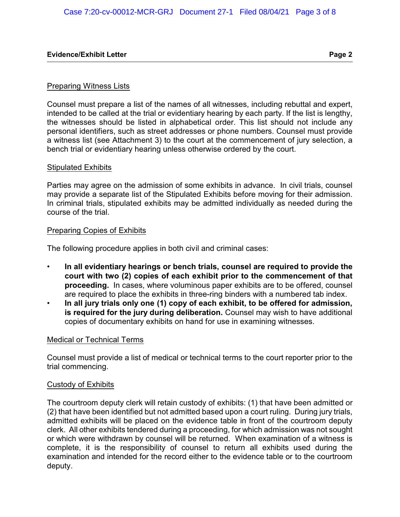#### Preparing Witness Lists

Counsel must prepare a list of the names of all witnesses, including rebuttal and expert, intended to be called at the trial or evidentiary hearing by each party. If the list is lengthy, the witnesses should be listed in alphabetical order. This list should not include any personal identifiers, such as street addresses or phone numbers. Counsel must provide a witness list (see Attachment 3) to the court at the commencement of jury selection, a bench trial or evidentiary hearing unless otherwise ordered by the court.

#### Stipulated Exhibits

Parties may agree on the admission of some exhibits in advance. In civil trials, counsel may provide a separate list of the Stipulated Exhibits before moving for their admission. In criminal trials, stipulated exhibits may be admitted individually as needed during the course of the trial.

#### Preparing Copies of Exhibits

The following procedure applies in both civil and criminal cases:

- **In all evidentiary hearings or bench trials, counsel are required to provide the court with two (2) copies of each exhibit prior to the commencement of that proceeding.** In cases, where voluminous paper exhibits are to be offered, counsel are required to place the exhibits in three-ring binders with a numbered tab index.
- **In all jury trials only one (1) copy of each exhibit, to be offered for admission, is required for the jury during deliberation.** Counsel may wish to have additional copies of documentary exhibits on hand for use in examining witnesses.

#### Medical or Technical Terms

Counsel must provide a list of medical or technical terms to the court reporter prior to the trial commencing.

#### Custody of Exhibits

The courtroom deputy clerk will retain custody of exhibits: (1) that have been admitted or (2) that have been identified but not admitted based upon a court ruling. During jury trials, admitted exhibits will be placed on the evidence table in front of the courtroom deputy clerk. All other exhibits tendered during a proceeding, for which admission was not sought or which were withdrawn by counsel will be returned. When examination of a witness is complete, it is the responsibility of counsel to return all exhibits used during the examination and intended for the record either to the evidence table or to the courtroom deputy.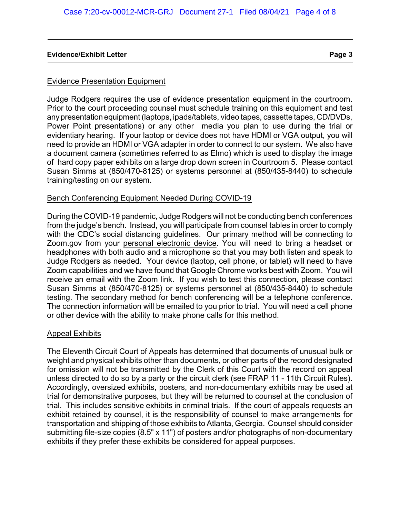#### Evidence Presentation Equipment

Judge Rodgers requires the use of evidence presentation equipment in the courtroom. Prior to the court proceeding counsel must schedule training on this equipment and test any presentation equipment (laptops, ipads/tablets, video tapes, cassette tapes, CD/DVDs, Power Point presentations) or any other media you plan to use during the trial or evidentiary hearing. If your laptop or device does not have HDMI or VGA output, you will need to provide an HDMI or VGA adapter in order to connect to our system. We also have a document camera (sometimes referred to as Elmo) which is used to display the image of hard copy paper exhibits on a large drop down screen in Courtroom 5. Please contact Susan Simms at (850/470-8125) or systems personnel at (850/435-8440) to schedule training/testing on our system.

#### Bench Conferencing Equipment Needed During COVID-19

During the COVID-19 pandemic, Judge Rodgers will not be conducting bench conferences from the judge's bench. Instead, you will participate from counsel tables in order to comply with the CDC's social distancing guidelines. Our primary method will be connecting to Zoom.gov from your personal electronic device. You will need to bring a headset or headphones with both audio and a microphone so that you may both listen and speak to Judge Rodgers as needed. Your device (laptop, cell phone, or tablet) will need to have Zoom capabilities and we have found that Google Chrome works best with Zoom. You will receive an email with the Zoom link. If you wish to test this connection, please contact Susan Simms at (850/470-8125) or systems personnel at (850/435-8440) to schedule testing. The secondary method for bench conferencing will be a telephone conference. The connection information will be emailed to you prior to trial. You will need a cell phone or other device with the ability to make phone calls for this method.

#### Appeal Exhibits

The Eleventh Circuit Court of Appeals has determined that documents of unusual bulk or weight and physical exhibits other than documents, or other parts of the record designated for omission will not be transmitted by the Clerk of this Court with the record on appeal unless directed to do so by a party or the circuit clerk (see FRAP 11 - 11th Circuit Rules). Accordingly, oversized exhibits, posters, and non-documentary exhibits may be used at trial for demonstrative purposes, but they will be returned to counsel at the conclusion of trial. This includes sensitive exhibits in criminal trials. If the court of appeals requests an exhibit retained by counsel, it is the responsibility of counsel to make arrangements for transportation and shipping of those exhibits to Atlanta, Georgia. Counsel should consider submitting file-size copies (8.5" x 11") of posters and/or photographs of non-documentary exhibits if they prefer these exhibits be considered for appeal purposes.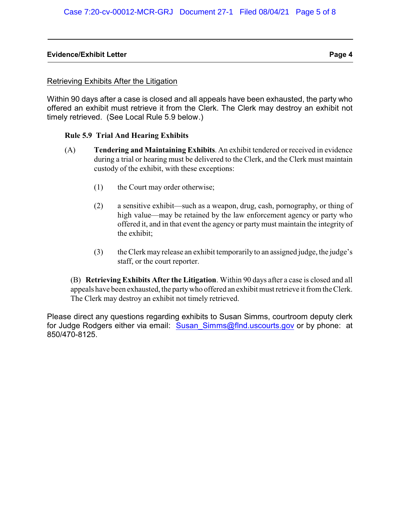#### Retrieving Exhibits After the Litigation

Within 90 days after a case is closed and all appeals have been exhausted, the party who offered an exhibit must retrieve it from the Clerk. The Clerk may destroy an exhibit not timely retrieved. (See Local Rule 5.9 below.)

#### **Rule 5.9 Trial And Hearing Exhibits**

- (A) **Tendering and Maintaining Exhibits**. An exhibit tendered or received in evidence during a trial or hearing must be delivered to the Clerk, and the Clerk must maintain custody of the exhibit, with these exceptions:
	- (1) the Court may order otherwise;
	- (2) a sensitive exhibit—such as a weapon, drug, cash, pornography, or thing of high value—may be retained by the law enforcement agency or party who offered it, and in that event the agency or party must maintain the integrity of the exhibit;
	- (3) the Clerk may release an exhibit temporarily to an assigned judge, the judge's staff, or the court reporter.

(B) **Retrieving Exhibits After the Litigation**. Within 90 days after a case is closed and all appeals have been exhausted, the partywho offered an exhibit must retrieve it from the Clerk. The Clerk may destroy an exhibit not timely retrieved.

Please direct any questions regarding exhibits to Susan Simms, courtroom deputy clerk for Judge Rodgers either via email: Susan Simms@flnd.uscourts.gov or by phone: at 850/470-8125.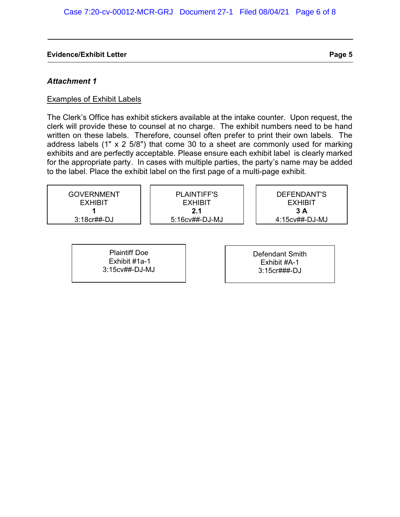#### *Attachment 1*

#### Examples of Exhibit Labels

The Clerk's Office has exhibit stickers available at the intake counter. Upon request, the clerk will provide these to counsel at no charge. The exhibit numbers need to be hand written on these labels. Therefore, counsel often prefer to print their own labels. The address labels (1" x 2 5/8") that come 30 to a sheet are commonly used for marking exhibits and are perfectly acceptable. Please ensure each exhibit label is clearly marked for the appropriate party. In cases with multiple parties, the party's name may be added to the label. Place the exhibit label on the first page of a multi-page exhibit.

| GOVERNMENT<br><b>EXHIBIT</b> | PLAINTIFF'S<br><b>EXHIBIT</b> | DEFENDANT'S<br><b>EXHIBIT</b> |
|------------------------------|-------------------------------|-------------------------------|
| $3:18$ cr##-DJ               | 2.1<br>$5:16c$ v##-DJ-MJ      | 3 A<br>4:15cv##-DJ-MJ         |
|                              |                               |                               |

Plaintiff Doe Exhibit #1a-1 3:15cv##-DJ-MJ Defendant Smith Exhibit #A-1 3:15cr###-DJ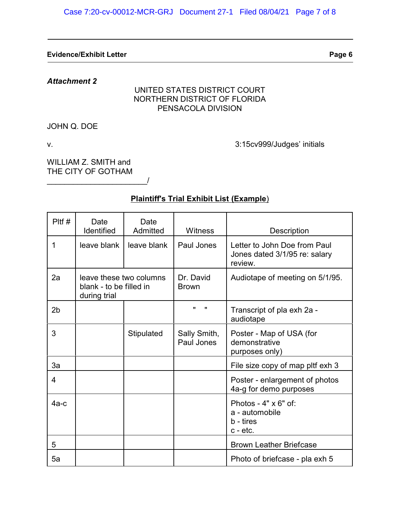*Attachment 2*

## UNITED STATES DISTRICT COURT NORTHERN DISTRICT OF FLORIDA PENSACOLA DIVISION

JOHN Q. DOE

v. 3:15cv999/Judges' initials

WILLIAM Z. SMITH and THE CITY OF GOTHAM \_\_\_\_\_\_\_\_\_\_\_\_\_\_\_\_\_\_\_\_\_\_\_/

# **Plaintiff's Trial Exhibit List (Example**)

| $P$ Itf #      | Date<br>Identified                                                 | Date<br>Admitted | <b>Witness</b>             | Description                                                              |
|----------------|--------------------------------------------------------------------|------------------|----------------------------|--------------------------------------------------------------------------|
| 1              | leave blank                                                        | leave blank      | Paul Jones                 | Letter to John Doe from Paul<br>Jones dated 3/1/95 re: salary<br>review. |
| 2a             | leave these two columns<br>blank - to be filled in<br>during trial |                  | Dr. David<br><b>Brown</b>  | Audiotape of meeting on 5/1/95.                                          |
| 2 <sub>b</sub> |                                                                    |                  | π<br>$\mathbf{u}$          | Transcript of pla exh 2a -<br>audiotape                                  |
| 3              |                                                                    | Stipulated       | Sally Smith,<br>Paul Jones | Poster - Map of USA (for<br>demonstrative<br>purposes only)              |
| 3a             |                                                                    |                  |                            | File size copy of map pltf exh 3                                         |
| $\overline{4}$ |                                                                    |                  |                            | Poster - enlargement of photos<br>4a-g for demo purposes                 |
| $4a-c$         |                                                                    |                  |                            | Photos - $4" \times 6"$ of:<br>a - automobile<br>b - tires<br>c - etc.   |
| 5              |                                                                    |                  |                            | <b>Brown Leather Briefcase</b>                                           |
| 5a             |                                                                    |                  |                            | Photo of briefcase - pla exh 5                                           |